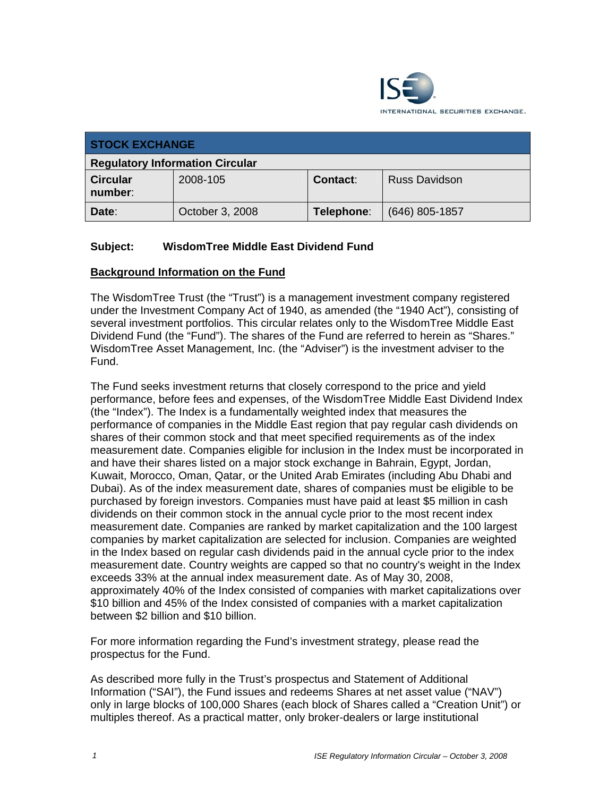

| <b>STOCK EXCHANGE</b>                  |                 |                 |                      |
|----------------------------------------|-----------------|-----------------|----------------------|
| <b>Regulatory Information Circular</b> |                 |                 |                      |
| <b>Circular</b><br>number:             | 2008-105        | <b>Contact:</b> | <b>Russ Davidson</b> |
| Date:                                  | October 3, 2008 | Telephone:      | (646) 805-1857       |

# **Subject: WisdomTree Middle East Dividend Fund**

#### **Background Information on the Fund**

The WisdomTree Trust (the "Trust") is a management investment company registered under the Investment Company Act of 1940, as amended (the "1940 Act"), consisting of several investment portfolios. This circular relates only to the WisdomTree Middle East Dividend Fund (the "Fund"). The shares of the Fund are referred to herein as "Shares." WisdomTree Asset Management, Inc. (the "Adviser") is the investment adviser to the Fund.

The Fund seeks investment returns that closely correspond to the price and yield performance, before fees and expenses, of the WisdomTree Middle East Dividend Index (the "Index"). The Index is a fundamentally weighted index that measures the performance of companies in the Middle East region that pay regular cash dividends on shares of their common stock and that meet specified requirements as of the index measurement date. Companies eligible for inclusion in the Index must be incorporated in and have their shares listed on a major stock exchange in Bahrain, Egypt, Jordan, Kuwait, Morocco, Oman, Qatar, or the United Arab Emirates (including Abu Dhabi and Dubai). As of the index measurement date, shares of companies must be eligible to be purchased by foreign investors. Companies must have paid at least \$5 million in cash dividends on their common stock in the annual cycle prior to the most recent index measurement date. Companies are ranked by market capitalization and the 100 largest companies by market capitalization are selected for inclusion. Companies are weighted in the Index based on regular cash dividends paid in the annual cycle prior to the index measurement date. Country weights are capped so that no country's weight in the Index exceeds 33% at the annual index measurement date. As of May 30, 2008, approximately 40% of the Index consisted of companies with market capitalizations over \$10 billion and 45% of the Index consisted of companies with a market capitalization between \$2 billion and \$10 billion.

For more information regarding the Fund's investment strategy, please read the prospectus for the Fund.

As described more fully in the Trust's prospectus and Statement of Additional Information ("SAI"), the Fund issues and redeems Shares at net asset value ("NAV") only in large blocks of 100,000 Shares (each block of Shares called a "Creation Unit") or multiples thereof. As a practical matter, only broker-dealers or large institutional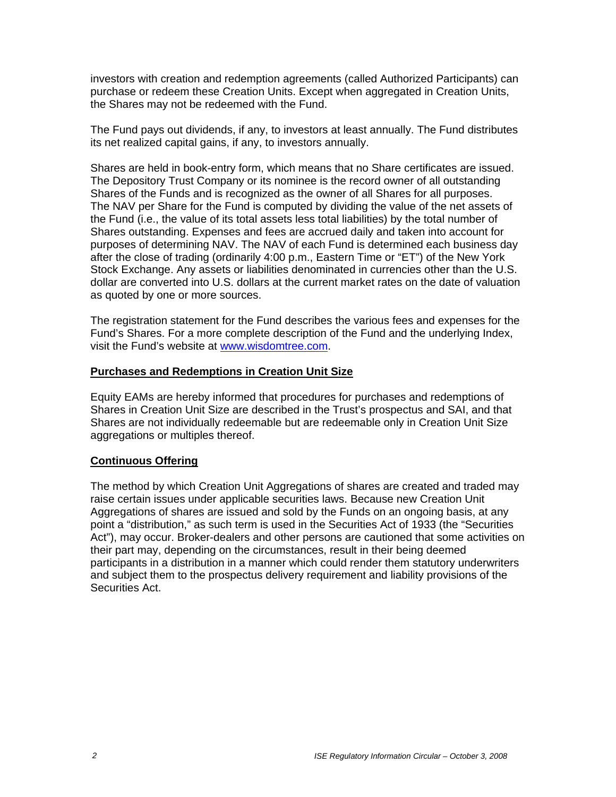investors with creation and redemption agreements (called Authorized Participants) can purchase or redeem these Creation Units. Except when aggregated in Creation Units, the Shares may not be redeemed with the Fund.

The Fund pays out dividends, if any, to investors at least annually. The Fund distributes its net realized capital gains, if any, to investors annually.

Shares are held in book-entry form, which means that no Share certificates are issued. The Depository Trust Company or its nominee is the record owner of all outstanding Shares of the Funds and is recognized as the owner of all Shares for all purposes. The NAV per Share for the Fund is computed by dividing the value of the net assets of the Fund (i.e., the value of its total assets less total liabilities) by the total number of Shares outstanding. Expenses and fees are accrued daily and taken into account for purposes of determining NAV. The NAV of each Fund is determined each business day after the close of trading (ordinarily 4:00 p.m., Eastern Time or "ET") of the New York Stock Exchange. Any assets or liabilities denominated in currencies other than the U.S. dollar are converted into U.S. dollars at the current market rates on the date of valuation as quoted by one or more sources.

The registration statement for the Fund describes the various fees and expenses for the Fund's Shares. For a more complete description of the Fund and the underlying Index, visit the Fund's website at www.wisdomtree.com.

#### **Purchases and Redemptions in Creation Unit Size**

Equity EAMs are hereby informed that procedures for purchases and redemptions of Shares in Creation Unit Size are described in the Trust's prospectus and SAI, and that Shares are not individually redeemable but are redeemable only in Creation Unit Size aggregations or multiples thereof.

### **Continuous Offering**

The method by which Creation Unit Aggregations of shares are created and traded may raise certain issues under applicable securities laws. Because new Creation Unit Aggregations of shares are issued and sold by the Funds on an ongoing basis, at any point a "distribution," as such term is used in the Securities Act of 1933 (the "Securities Act"), may occur. Broker-dealers and other persons are cautioned that some activities on their part may, depending on the circumstances, result in their being deemed participants in a distribution in a manner which could render them statutory underwriters and subject them to the prospectus delivery requirement and liability provisions of the Securities Act.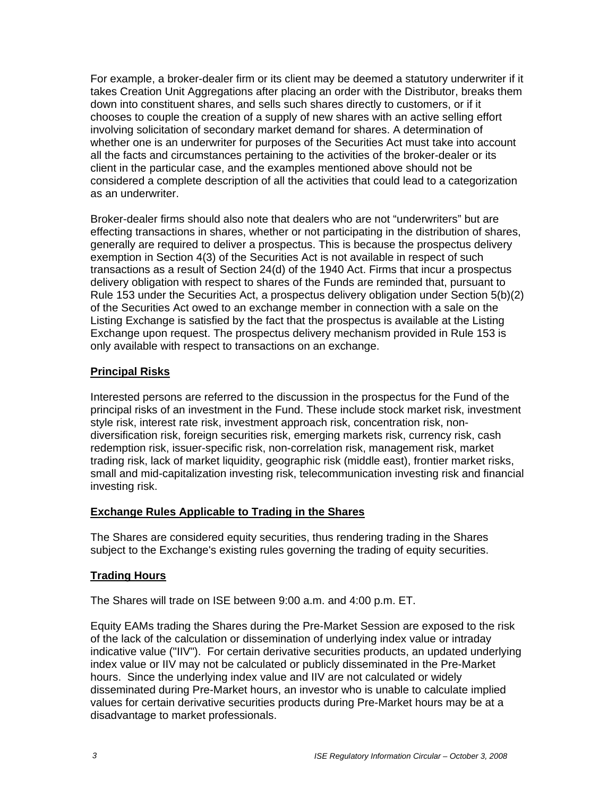For example, a broker-dealer firm or its client may be deemed a statutory underwriter if it takes Creation Unit Aggregations after placing an order with the Distributor, breaks them down into constituent shares, and sells such shares directly to customers, or if it chooses to couple the creation of a supply of new shares with an active selling effort involving solicitation of secondary market demand for shares. A determination of whether one is an underwriter for purposes of the Securities Act must take into account all the facts and circumstances pertaining to the activities of the broker-dealer or its client in the particular case, and the examples mentioned above should not be considered a complete description of all the activities that could lead to a categorization as an underwriter.

Broker-dealer firms should also note that dealers who are not "underwriters" but are effecting transactions in shares, whether or not participating in the distribution of shares, generally are required to deliver a prospectus. This is because the prospectus delivery exemption in Section 4(3) of the Securities Act is not available in respect of such transactions as a result of Section 24(d) of the 1940 Act. Firms that incur a prospectus delivery obligation with respect to shares of the Funds are reminded that, pursuant to Rule 153 under the Securities Act, a prospectus delivery obligation under Section 5(b)(2) of the Securities Act owed to an exchange member in connection with a sale on the Listing Exchange is satisfied by the fact that the prospectus is available at the Listing Exchange upon request. The prospectus delivery mechanism provided in Rule 153 is only available with respect to transactions on an exchange.

### **Principal Risks**

Interested persons are referred to the discussion in the prospectus for the Fund of the principal risks of an investment in the Fund. These include stock market risk, investment style risk, interest rate risk, investment approach risk, concentration risk, nondiversification risk, foreign securities risk, emerging markets risk, currency risk, cash redemption risk, issuer-specific risk, non-correlation risk, management risk, market trading risk, lack of market liquidity, geographic risk (middle east), frontier market risks, small and mid-capitalization investing risk, telecommunication investing risk and financial investing risk.

### **Exchange Rules Applicable to Trading in the Shares**

The Shares are considered equity securities, thus rendering trading in the Shares subject to the Exchange's existing rules governing the trading of equity securities.

### **Trading Hours**

The Shares will trade on ISE between 9:00 a.m. and 4:00 p.m. ET.

Equity EAMs trading the Shares during the Pre-Market Session are exposed to the risk of the lack of the calculation or dissemination of underlying index value or intraday indicative value ("IIV"). For certain derivative securities products, an updated underlying index value or IIV may not be calculated or publicly disseminated in the Pre-Market hours. Since the underlying index value and IIV are not calculated or widely disseminated during Pre-Market hours, an investor who is unable to calculate implied values for certain derivative securities products during Pre-Market hours may be at a disadvantage to market professionals.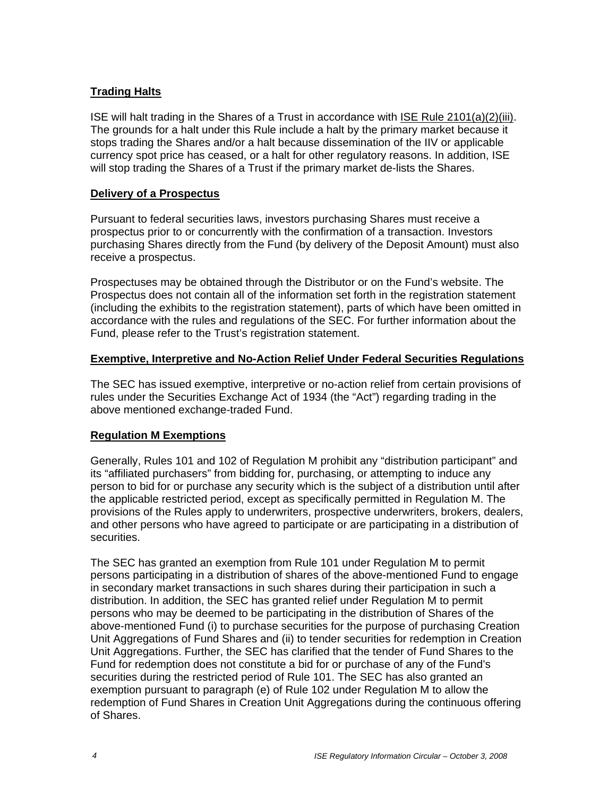# **Trading Halts**

ISE will halt trading in the Shares of a Trust in accordance with ISE Rule 2101(a)(2)(iii). The grounds for a halt under this Rule include a halt by the primary market because it stops trading the Shares and/or a halt because dissemination of the IIV or applicable currency spot price has ceased, or a halt for other regulatory reasons. In addition, ISE will stop trading the Shares of a Trust if the primary market de-lists the Shares.

### **Delivery of a Prospectus**

Pursuant to federal securities laws, investors purchasing Shares must receive a prospectus prior to or concurrently with the confirmation of a transaction. Investors purchasing Shares directly from the Fund (by delivery of the Deposit Amount) must also receive a prospectus.

Prospectuses may be obtained through the Distributor or on the Fund's website. The Prospectus does not contain all of the information set forth in the registration statement (including the exhibits to the registration statement), parts of which have been omitted in accordance with the rules and regulations of the SEC. For further information about the Fund, please refer to the Trust's registration statement.

# **Exemptive, Interpretive and No-Action Relief Under Federal Securities Regulations**

The SEC has issued exemptive, interpretive or no-action relief from certain provisions of rules under the Securities Exchange Act of 1934 (the "Act") regarding trading in the above mentioned exchange-traded Fund.

# **Regulation M Exemptions**

Generally, Rules 101 and 102 of Regulation M prohibit any "distribution participant" and its "affiliated purchasers" from bidding for, purchasing, or attempting to induce any person to bid for or purchase any security which is the subject of a distribution until after the applicable restricted period, except as specifically permitted in Regulation M. The provisions of the Rules apply to underwriters, prospective underwriters, brokers, dealers, and other persons who have agreed to participate or are participating in a distribution of securities.

The SEC has granted an exemption from Rule 101 under Regulation M to permit persons participating in a distribution of shares of the above-mentioned Fund to engage in secondary market transactions in such shares during their participation in such a distribution. In addition, the SEC has granted relief under Regulation M to permit persons who may be deemed to be participating in the distribution of Shares of the above-mentioned Fund (i) to purchase securities for the purpose of purchasing Creation Unit Aggregations of Fund Shares and (ii) to tender securities for redemption in Creation Unit Aggregations. Further, the SEC has clarified that the tender of Fund Shares to the Fund for redemption does not constitute a bid for or purchase of any of the Fund's securities during the restricted period of Rule 101. The SEC has also granted an exemption pursuant to paragraph (e) of Rule 102 under Regulation M to allow the redemption of Fund Shares in Creation Unit Aggregations during the continuous offering of Shares.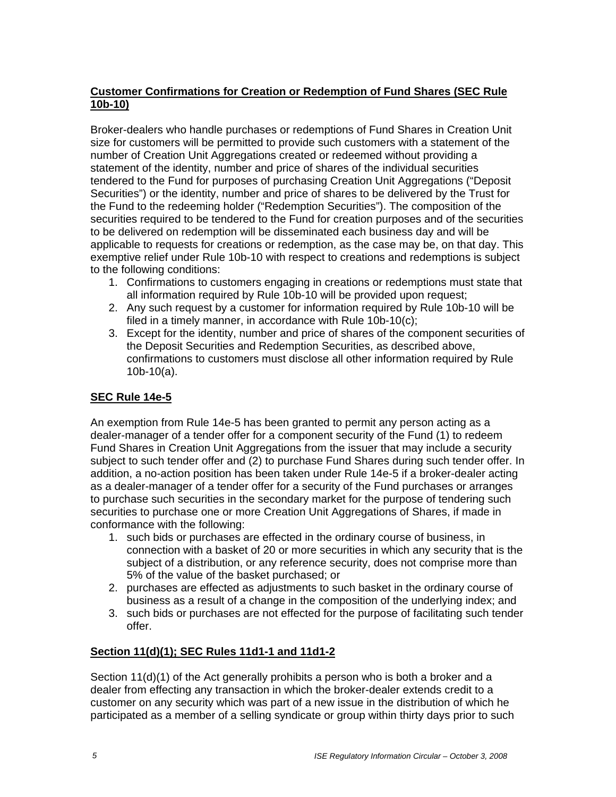# **Customer Confirmations for Creation or Redemption of Fund Shares (SEC Rule 10b-10)**

Broker-dealers who handle purchases or redemptions of Fund Shares in Creation Unit size for customers will be permitted to provide such customers with a statement of the number of Creation Unit Aggregations created or redeemed without providing a statement of the identity, number and price of shares of the individual securities tendered to the Fund for purposes of purchasing Creation Unit Aggregations ("Deposit Securities") or the identity, number and price of shares to be delivered by the Trust for the Fund to the redeeming holder ("Redemption Securities"). The composition of the securities required to be tendered to the Fund for creation purposes and of the securities to be delivered on redemption will be disseminated each business day and will be applicable to requests for creations or redemption, as the case may be, on that day. This exemptive relief under Rule 10b-10 with respect to creations and redemptions is subject to the following conditions:

- 1. Confirmations to customers engaging in creations or redemptions must state that all information required by Rule 10b-10 will be provided upon request:
- 2. Any such request by a customer for information required by Rule 10b-10 will be filed in a timely manner, in accordance with Rule 10b-10(c);
- 3. Except for the identity, number and price of shares of the component securities of the Deposit Securities and Redemption Securities, as described above, confirmations to customers must disclose all other information required by Rule 10b-10(a).

# **SEC Rule 14e-5**

An exemption from Rule 14e-5 has been granted to permit any person acting as a dealer-manager of a tender offer for a component security of the Fund (1) to redeem Fund Shares in Creation Unit Aggregations from the issuer that may include a security subject to such tender offer and (2) to purchase Fund Shares during such tender offer. In addition, a no-action position has been taken under Rule 14e-5 if a broker-dealer acting as a dealer-manager of a tender offer for a security of the Fund purchases or arranges to purchase such securities in the secondary market for the purpose of tendering such securities to purchase one or more Creation Unit Aggregations of Shares, if made in conformance with the following:

- 1. such bids or purchases are effected in the ordinary course of business, in connection with a basket of 20 or more securities in which any security that is the subject of a distribution, or any reference security, does not comprise more than 5% of the value of the basket purchased; or
- 2. purchases are effected as adjustments to such basket in the ordinary course of business as a result of a change in the composition of the underlying index; and
- 3. such bids or purchases are not effected for the purpose of facilitating such tender offer.

### **Section 11(d)(1); SEC Rules 11d1-1 and 11d1-2**

Section 11(d)(1) of the Act generally prohibits a person who is both a broker and a dealer from effecting any transaction in which the broker-dealer extends credit to a customer on any security which was part of a new issue in the distribution of which he participated as a member of a selling syndicate or group within thirty days prior to such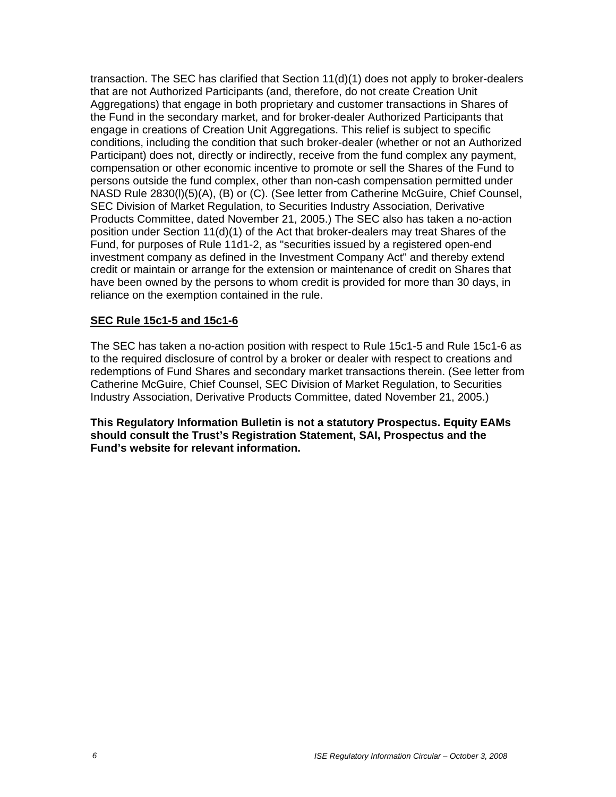transaction. The SEC has clarified that Section 11(d)(1) does not apply to broker-dealers that are not Authorized Participants (and, therefore, do not create Creation Unit Aggregations) that engage in both proprietary and customer transactions in Shares of the Fund in the secondary market, and for broker-dealer Authorized Participants that engage in creations of Creation Unit Aggregations. This relief is subject to specific conditions, including the condition that such broker-dealer (whether or not an Authorized Participant) does not, directly or indirectly, receive from the fund complex any payment, compensation or other economic incentive to promote or sell the Shares of the Fund to persons outside the fund complex, other than non-cash compensation permitted under NASD Rule 2830(l)(5)(A), (B) or (C). (See letter from Catherine McGuire, Chief Counsel, SEC Division of Market Regulation, to Securities Industry Association, Derivative Products Committee, dated November 21, 2005.) The SEC also has taken a no-action position under Section 11(d)(1) of the Act that broker-dealers may treat Shares of the Fund, for purposes of Rule 11d1-2, as "securities issued by a registered open-end investment company as defined in the Investment Company Act" and thereby extend credit or maintain or arrange for the extension or maintenance of credit on Shares that have been owned by the persons to whom credit is provided for more than 30 days, in reliance on the exemption contained in the rule.

#### **SEC Rule 15c1-5 and 15c1-6**

The SEC has taken a no-action position with respect to Rule 15c1-5 and Rule 15c1-6 as to the required disclosure of control by a broker or dealer with respect to creations and redemptions of Fund Shares and secondary market transactions therein. (See letter from Catherine McGuire, Chief Counsel, SEC Division of Market Regulation, to Securities Industry Association, Derivative Products Committee, dated November 21, 2005.)

**This Regulatory Information Bulletin is not a statutory Prospectus. Equity EAMs should consult the Trust's Registration Statement, SAI, Prospectus and the Fund's website for relevant information.**